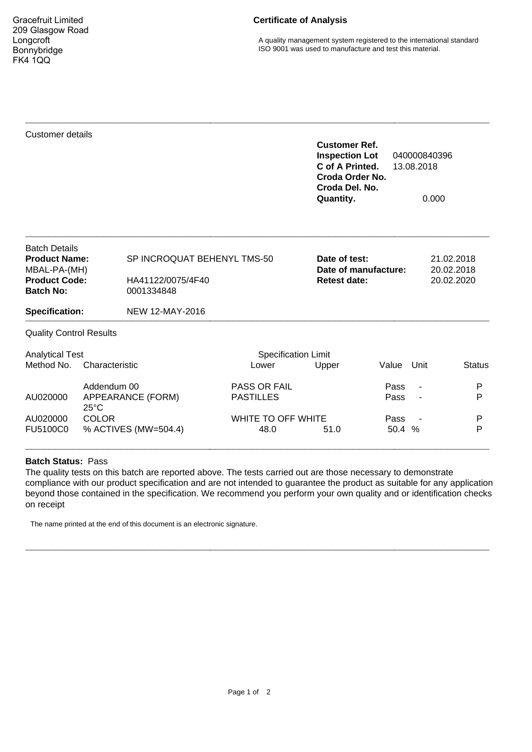Gracefruit Limited 209 Glasgow Road Longcroft Bonnybridge FK4 1QQ

## **Certificate of Analysis**

A quality management system registered to the international standard ISO 9001 was used to manufacture and test this material.

| Customer details                                             |                                     |                                 |                            | <b>Customer Ref.</b><br><b>Inspection Lot</b><br>C of A Printed.<br>Croda Del. No.<br>Quantity. | Croda Order No.                                                   |      | 040000840396<br>13.08.2018<br>0.000 |  |
|--------------------------------------------------------------|-------------------------------------|---------------------------------|----------------------------|-------------------------------------------------------------------------------------------------|-------------------------------------------------------------------|------|-------------------------------------|--|
| <b>Batch Details</b><br><b>Product Name:</b><br>MBAL-PA-(MH) |                                     | SP INCROQUAT BEHENYL TMS-50     |                            |                                                                                                 | Date of test:<br>21.02.2018<br>Date of manufacture:<br>20.02.2018 |      |                                     |  |
| <b>Product Code:</b><br><b>Batch No:</b>                     |                                     | HA41122/0075/4F40<br>0001334848 |                            | <b>Retest date:</b>                                                                             |                                                                   |      | 20.02.2020                          |  |
| <b>Specification:</b>                                        |                                     | NEW 12-MAY-2016                 |                            |                                                                                                 |                                                                   |      |                                     |  |
| <b>Quality Control Results</b>                               |                                     |                                 |                            |                                                                                                 |                                                                   |      |                                     |  |
| <b>Analytical Test</b>                                       |                                     |                                 | <b>Specification Limit</b> |                                                                                                 |                                                                   |      |                                     |  |
| Method No.                                                   | Characteristic                      |                                 | Lower                      | Upper                                                                                           | Value                                                             | Unit | <b>Status</b>                       |  |
|                                                              | Addendum 00                         |                                 | PASS OR FAIL               |                                                                                                 | Pass                                                              |      | P                                   |  |
| AU020000                                                     | APPEARANCE (FORM)<br>$25^{\circ}$ C |                                 | <b>PASTILLES</b>           |                                                                                                 | Pass                                                              |      | P                                   |  |
| AU020000                                                     | <b>COLOR</b>                        |                                 | WHITE TO OFF WHITE         |                                                                                                 | Pass                                                              |      | P                                   |  |
| FU5100C0                                                     |                                     | % ACTIVES (MW=504.4)            | 48.0                       | 51.0                                                                                            | 50.4 %                                                            |      | P                                   |  |

## **Batch Status:** Pass

The quality tests on this batch are reported above. The tests carried out are those necessary to demonstrate compliance with our product specification and are not intended to guarantee the product as suitable for any application beyond those contained in the specification. We recommend you perform your own quality and or identification checks on receipt

**\_\_\_\_\_\_\_\_\_\_\_\_\_\_\_\_\_\_\_\_\_\_\_\_\_\_\_\_\_\_\_\_\_\_\_\_\_\_\_\_\_\_\_\_\_\_\_\_\_\_\_\_\_\_\_\_\_\_\_\_\_\_\_\_\_\_\_\_\_\_\_\_\_\_\_\_\_\_**

**\_\_\_\_\_\_\_\_\_\_\_\_\_\_\_\_\_\_\_\_\_\_\_\_\_\_\_\_\_\_\_\_\_\_\_\_\_\_\_\_\_\_\_\_\_\_\_\_\_\_\_\_\_\_\_\_\_\_\_\_\_\_\_\_\_\_\_\_\_\_\_\_\_\_\_\_\_\_**

The name printed at the end of this document is an electronic signature.